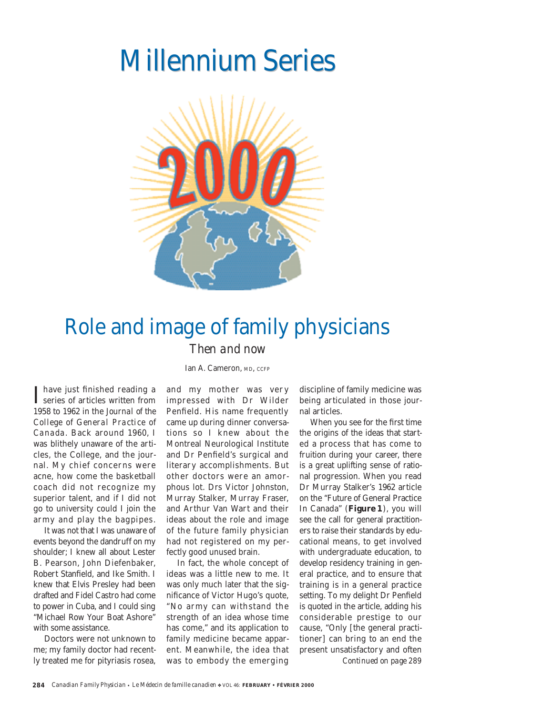# **Millennium Series**



### Role and image of family physicians *Then and now*

Ian A. Cameron, MD, CCFP

I have just finished reading a<br>series of articles written from have just finished reading a 1958 to 1962 in the *Journal of the College of General Practice of Canada*. Back around 1960, I was blithely unaware of the articles, the College, and the journal. My chief concerns were acne, how come the basketball coach did not recognize my superior talent, and if I did not go to university could I join the army and play the bagpipes.

It was not that I was unaware of events beyond the dandruff on my shoulder; I knew all about Lester B. Pearson, John Diefenbaker, Robert Stanfield, and Ike Smith. I knew that Elvis Presley had been drafted and Fidel Castro had come to power in Cuba, and I could sing "Michael Row Your Boat Ashore" with some assistance.

Doctors were not unknown to me; my family doctor had recently treated me for pityriasis rosea, and my mother was very impressed with Dr Wilder Penfield. His name frequently came up during dinner conversations so I knew about the Montreal Neurological Institute and Dr Penfield's surgical and literary accomplishments. But other doctors were an amorphous lot. Drs Victor Johnston, Murray Stalker, Murray Fraser, and Arthur Van Wart and their ideas about the role and image of the future family physician had not registered on my perfectly good unused brain.

In fact, the whole concept of ideas was a little new to me. It was only much later that the significance of Victor Hugo's quote, "No army can withstand the strength of an idea whose time has come," and its application to family medicine became apparent. Meanwhile, the idea that was to embody the emerging

discipline of family medicine was being articulated in those journal articles.

When you see for the first time the origins of the ideas that started a process that has come to fruition during your career, there is a great uplifting sense of rational progression. When you read Dr Murray Stalker's 1962 article on the "Future of General Practice In Canada" (**Figure 1**), you will see the call for general practitioners to raise their standards by educational means, to get involved with undergraduate education, to develop residency training in general practice, and to ensure that training is in a general practice setting. To my delight Dr Penfield is quoted in the article, adding his considerable prestige to our cause, "Only [the general practitioner] can bring to an end the present unsatisfactory and often *Continued on page 289*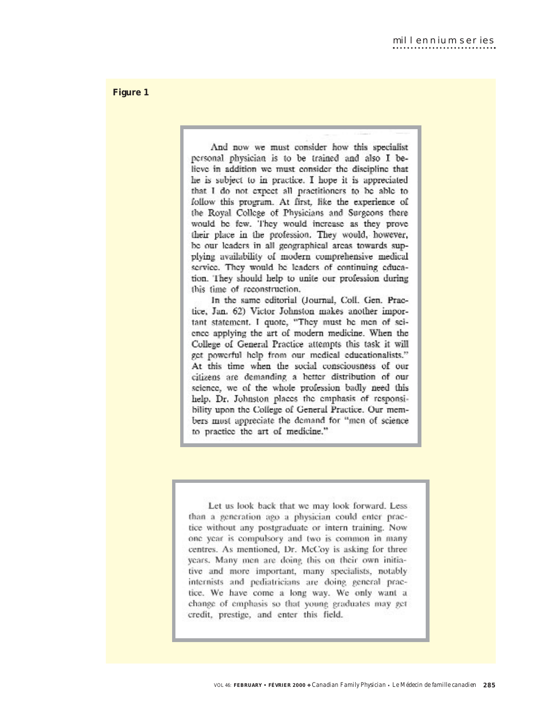And now we must consider how this specialist personal physician is to be trained and also I believe in addition we must consider the discipline that he is subject to in practice. I hope it is appreciated that I do not expect all practitioners to be able to follow this program. At first, like the experience of the Royal College of Physicians and Surgeons there would be few. They would increase as they prove their place in the profession. They would, however, be our leaders in all geographical areas towards supplying availability of modern comprehensive medical service. They would be leaders of continuing education. They should help to unite our profession during this time of reconstruction.

In the same editorial (Journal, Coll. Gen. Practice, Jan. 62) Victor Johnston makes another important statement. I quote, "They must be men of seience applying the art of modern medicine. When the College of General Practice attempts this task it will get powerful help from our medical educationalists." At this time when the social consciousness of our citizens are demanding a better distribution of our science, we of the whole profession badly need this help. Dr. Johnston places the emphasis of responsibility upon the College of General Practice. Our members must appreciate the demand for "men of science to practice the art of medicine."

Let us look back that we may look forward. Less than a generation ago a physician could enter practice without any postgraduate or intern training. Now one year is compulsory and two is common in many centres. As mentioned, Dr. McCoy is asking for three years. Many men are doing this on their own initiative and more important, many specialists, notably internists and pediatricians are doing general practice. We have come a long way. We only want a change of emphasis so that young graduates may get credit, prestige, and enter this field.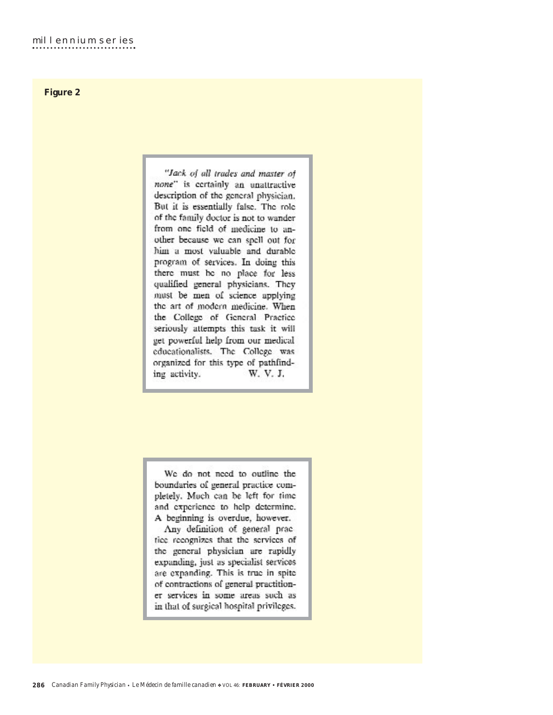"Jack of all trades and master of none" is certainly an unattractive description of the general physician. But it is essentially false. The role of the family doctor is not to wander from one field of medicine to another because we can spell out for him a most valuable and durable program of services. In doing this there must be no place for less qualified general physicians. They must be men of science applying the art of modern medicine. When the College of General Practice seriously attempts this task it will get powerful help from our medical educationalists. The College was organized for this type of pathfind-W. V. J. ing activity.

We do not need to outline the boundaries of general practice completely. Much can be left for time and experience to help determine. A beginning is overdue, however.

Any definition of general practice recognizes that the services of the general physician are rapidly expanding, just as specialist services are expanding. This is true in spite of contractions of general practitioner services in some areas such as in that of surgical hospital privileges.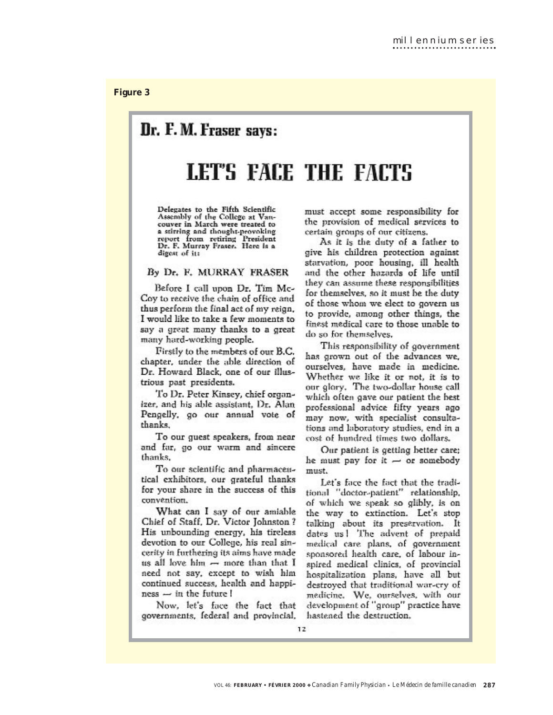### Dr. F. M. Fraser says:

## LET'S FACE THE FACTS

Delegates to the Fifth Scientific Assembly of the College at Vancouver in March were treated to a stirring and thought-provoking report from retiring President Dr. F. Murray Fraser. Here is a digest of it:

### By Dr. F. MURRAY FRASER

Before I call upon Dr. Tim Mc-Coy to receive the chain of office and thus perform the final act of my reign, I would like to take a few moments to say a great many thanks to a great many hard-working people.

Firstly to the members of our B.C. chapter, under the able direction of Dr. Howard Black, one of our illustrious past presidents.

To Dr. Peter Kinsey, chief organizer, and his able assistant, Dr. Alan Pengelly, go our annual vote of thanks.

To our guest speakers, from near and far, go our warm and sincere thanks.

To our scientific and pharmaceutical exhibitors, our grateful thanks for your share in the success of this convention.

What can I say of our amiable Chief of Staff, Dr. Victor Johnston? His unbounding energy, his tireless devotion to our College, his real sincerity in furthering its aims have made us all love him  $-$  more than that I need not say, except to wish him continued success, health and happi $ness \rightarrow in$  the future  $\mathsf{I}$ 

Now, let's face the fact that governments, federal and provincial,

must accept some responsibility for the provision of medical services to certain groups of our citizens.

As it is the duty of a father to give his children protection against starvation, poor housing, ill health and the other hazards of life until they can assume these responsibilities for themselves, so it must be the duty of those whom we elect to govern us to provide, among other things, the finest medical care to those unable to do so for themselves.

This responsibility of government has grown out of the advances we. ourselves, have made in medicine. Whether we like it or not, it is to our glory. The two-dollar house call which often gave our patient the best professional advice fifty years ago may now, with specialist consultations and laboratory studies, end in a cost of hundred times two dollars.

Our patient is getting hetter care; he must pay for it  $-$  or somebody must.

Let's face the fact that the traditional "doctor-patient" relationship, of which we speak so glibly, is on the way to extinction. Let's stop talking about its preservation. It dates us! The advent of prepaid medical care plans, of government sponsored health care, of labour inspired medical clinics, of provincial hospitalization plans, have all but destroyed that traditional war-cry of medicine. We, ourselves, with our development of "group" practice have hastened the destruction.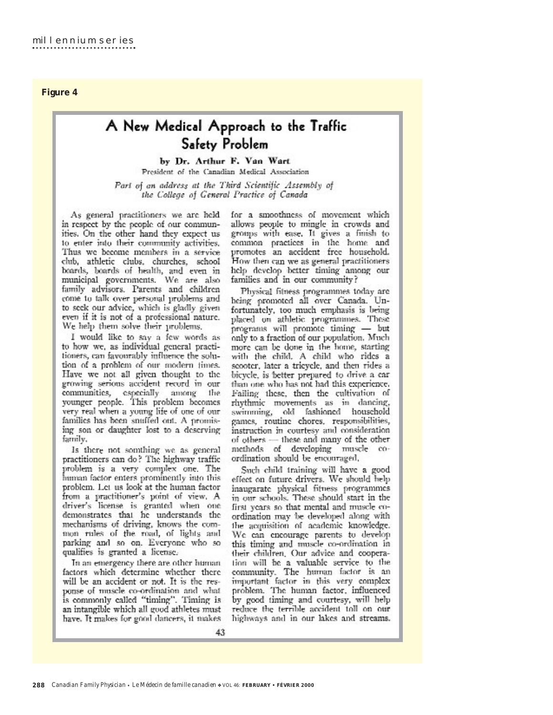### A New Medical Approach to the Traffic Safety Problem

by Dr. Arthur F. Van Wart President of the Canadian Medical Association

Part of an address at the Third Scientific Assembly of the College of General Practice of Canada

As general practitioners we are held in respect by the people of our communities. On the other hand they expect us to enter into their community activities. Thus we become members in a service club, athletic clubs, churches, school boards, boards of health, and even in municipal governments. We are also family advisors. Parents and children come to talk over personal problems and to seek our advice, which is gladly given even if it is not of a professional nature. We help them solve their problems.

I would like to say a few words as to how we, as individual general practitioners, can favourably influence the solution of a problem of our modern times. Have we not all given thought to the growing serious accident record in our communities, especially among the younger people. This problem becomes very real when a young life of one of our families has been snuffed out. A promising son or daughter lost to a descrving family,

Is there not somthing we as general practitioners can do? The highway traffic problem is a very complex one. The human factor enters prominently into this problem. Let us look at the human factor from a practitioner's point of view. A driver's license is granted when one demonstrates that he understands the mechanisms of driving, knows the common rules of the road, of lights and parking and so on. Everyone who so qualifies is granted a license.

In an emergency there are other human factors which determine whether there will be an accident or not. It is the response of muscle co-ordination and what is commonly called "timing". Timing is an intangible which all good athletes must have. It makes for good dancers, it makes for a smoothness of movement which allows people to mingle in crowds and groups with ease. It gives a finish to common practices in the home and promotes an accident free household. How then can we as general practitioners help develop better timing among our families and in our community?

Physical fitness programmes today are being promoted all over Canada. Unfortunately, too much emphasis is being placed on athletic programmes. These programs will promote timing - but only to a fraction of our population. Much more can be done in the home, starting with the child. A child who rides a scooter, later a tricycle, and then rides a bicycle, is better prepared to drive a car than one who has not had this experience. Failing these, then the cultivation of rhythmic movements as in dancing, swimming, old fashioned household games, routine chores, responsibilities, instruction in courtesy and consideration of others - these and many of the other methods of developing muscle coordination should be encouraged,

Such child training will have a good effect on future drivers. We should help inaugarate physical fitness programmes in our schools. These should start in the first years so that mental and muscle coordination may be developed along with the acquisition of academic knowledge. We can encourage parents to develop this timing and muscle co-ordination in their children. Our advice and cooperation will be a valuable service to the community. The human factor is an important factor in this very complex<br>problem. The human factor, influenced by good timing and courtesy, will help reduce the terrible accident toll on our highways and in our lakes and streams.